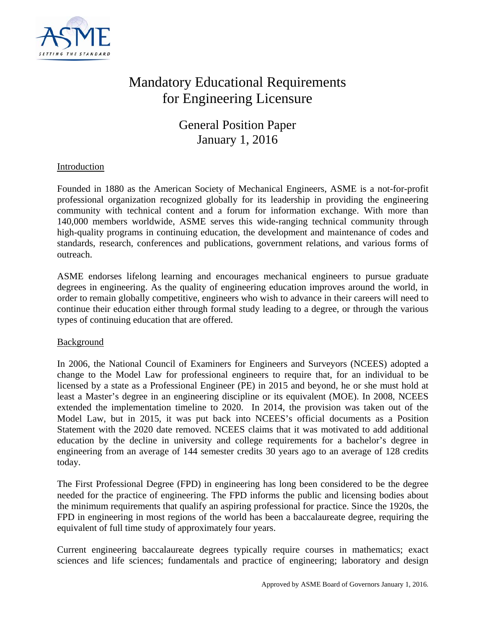

# Mandatory Educational Requirements for Engineering Licensure

General Position Paper January 1, 2016

## Introduction

Founded in 1880 as the American Society of Mechanical Engineers, ASME is a not-for-profit professional organization recognized globally for its leadership in providing the engineering community with technical content and a forum for information exchange. With more than 140,000 members worldwide, ASME serves this wide-ranging technical community through high-quality programs in continuing education, the development and maintenance of codes and standards, research, conferences and publications, government relations, and various forms of outreach.

ASME endorses lifelong learning and encourages mechanical engineers to pursue graduate degrees in engineering. As the quality of engineering education improves around the world, in order to remain globally competitive, engineers who wish to advance in their careers will need to continue their education either through formal study leading to a degree, or through the various types of continuing education that are offered.

### Background

In 2006, the National Council of Examiners for Engineers and Surveyors (NCEES) adopted a change to the Model Law for professional engineers to require that, for an individual to be licensed by a state as a Professional Engineer (PE) in 2015 and beyond, he or she must hold at least a Master's degree in an engineering discipline or its equivalent (MOE). In 2008, NCEES extended the implementation timeline to 2020. In 2014, the provision was taken out of the Model Law, but in 2015, it was put back into NCEES's official documents as a Position Statement with the 2020 date removed. NCEES claims that it was motivated to add additional education by the decline in university and college requirements for a bachelor's degree in engineering from an average of 144 semester credits 30 years ago to an average of 128 credits today.

The First Professional Degree (FPD) in engineering has long been considered to be the degree needed for the practice of engineering. The FPD informs the public and licensing bodies about the minimum requirements that qualify an aspiring professional for practice. Since the 1920s, the FPD in engineering in most regions of the world has been a baccalaureate degree, requiring the equivalent of full time study of approximately four years.

Current engineering baccalaureate degrees typically require courses in mathematics; exact sciences and life sciences; fundamentals and practice of engineering; laboratory and design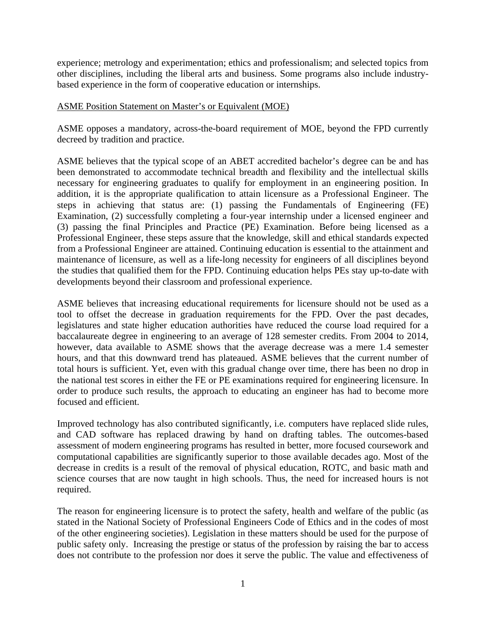experience; metrology and experimentation; ethics and professionalism; and selected topics from other disciplines, including the liberal arts and business. Some programs also include industrybased experience in the form of cooperative education or internships.

### ASME Position Statement on Master's or Equivalent (MOE)

ASME opposes a mandatory, across-the-board requirement of MOE, beyond the FPD currently decreed by tradition and practice.

ASME believes that the typical scope of an ABET accredited bachelor's degree can be and has been demonstrated to accommodate technical breadth and flexibility and the intellectual skills necessary for engineering graduates to qualify for employment in an engineering position. In addition, it is the appropriate qualification to attain licensure as a Professional Engineer. The steps in achieving that status are: (1) passing the Fundamentals of Engineering (FE) Examination, (2) successfully completing a four-year internship under a licensed engineer and (3) passing the final Principles and Practice (PE) Examination. Before being licensed as a Professional Engineer, these steps assure that the knowledge, skill and ethical standards expected from a Professional Engineer are attained. Continuing education is essential to the attainment and maintenance of licensure, as well as a life-long necessity for engineers of all disciplines beyond the studies that qualified them for the FPD. Continuing education helps PEs stay up-to-date with developments beyond their classroom and professional experience.

ASME believes that increasing educational requirements for licensure should not be used as a tool to offset the decrease in graduation requirements for the FPD. Over the past decades, legislatures and state higher education authorities have reduced the course load required for a baccalaureate degree in engineering to an average of 128 semester credits. From 2004 to 2014, however, data available to ASME shows that the average decrease was a mere 1.4 semester hours, and that this downward trend has plateaued. ASME believes that the current number of total hours is sufficient. Yet, even with this gradual change over time, there has been no drop in the national test scores in either the FE or PE examinations required for engineering licensure. In order to produce such results, the approach to educating an engineer has had to become more focused and efficient.

Improved technology has also contributed significantly, i.e. computers have replaced slide rules, and CAD software has replaced drawing by hand on drafting tables. The outcomes-based assessment of modern engineering programs has resulted in better, more focused coursework and computational capabilities are significantly superior to those available decades ago. Most of the decrease in credits is a result of the removal of physical education, ROTC, and basic math and science courses that are now taught in high schools. Thus, the need for increased hours is not required.

The reason for engineering licensure is to protect the safety, health and welfare of the public (as stated in the National Society of Professional Engineers Code of Ethics and in the codes of most of the other engineering societies). Legislation in these matters should be used for the purpose of public safety only. Increasing the prestige or status of the profession by raising the bar to access does not contribute to the profession nor does it serve the public. The value and effectiveness of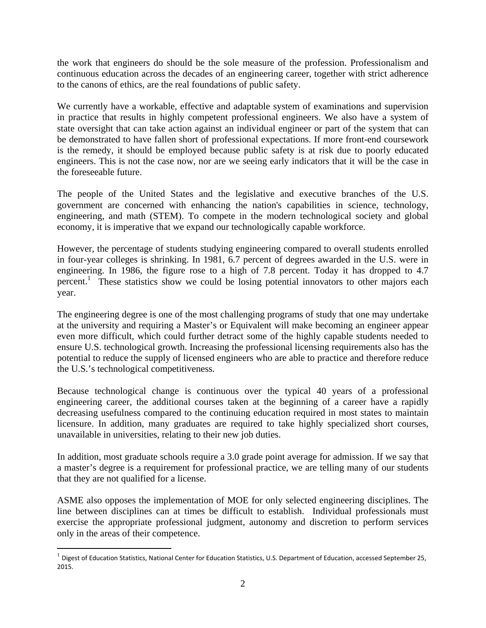the work that engineers do should be the sole measure of the profession. Professionalism and continuous education across the decades of an engineering career, together with strict adherence to the canons of ethics, are the real foundations of public safety.

We currently have a workable, effective and adaptable system of examinations and supervision in practice that results in highly competent professional engineers. We also have a system of state oversight that can take action against an individual engineer or part of the system that can be demonstrated to have fallen short of professional expectations. If more front-end coursework is the remedy, it should be employed because public safety is at risk due to poorly educated engineers. This is not the case now, nor are we seeing early indicators that it will be the case in the foreseeable future.

The people of the United States and the legislative and executive branches of the U.S. government are concerned with enhancing the nation's capabilities in science, technology, engineering, and math (STEM). To compete in the modern technological society and global economy, it is imperative that we expand our technologically capable workforce.

However, the percentage of students studying engineering compared to overall students enrolled in four-year colleges is shrinking. In 1981, 6.7 percent of degrees awarded in the U.S. were in engineering. In 1986, the figure rose to a high of 7.8 percent. Today it has dropped to 4.7 percent.<sup>1</sup> These statistics show we could be losing potential innovators to other majors each year.

The engineering degree is one of the most challenging programs of study that one may undertake at the university and requiring a Master's or Equivalent will make becoming an engineer appear even more difficult, which could further detract some of the highly capable students needed to ensure U.S. technological growth. Increasing the professional licensing requirements also has the potential to reduce the supply of licensed engineers who are able to practice and therefore reduce the U.S.'s technological competitiveness.

Because technological change is continuous over the typical 40 years of a professional engineering career, the additional courses taken at the beginning of a career have a rapidly decreasing usefulness compared to the continuing education required in most states to maintain licensure. In addition, many graduates are required to take highly specialized short courses, unavailable in universities, relating to their new job duties.

In addition, most graduate schools require a 3.0 grade point average for admission. If we say that a master's degree is a requirement for professional practice, we are telling many of our students that they are not qualified for a license.

ASME also opposes the implementation of MOE for only selected engineering disciplines. The line between disciplines can at times be difficult to establish. Individual professionals must exercise the appropriate professional judgment, autonomy and discretion to perform services only in the areas of their competence.

 $\overline{a}$ 

 $1$  Digest of Education Statistics, National Center for Education Statistics, U.S. Department of Education, accessed September 25, 2015.